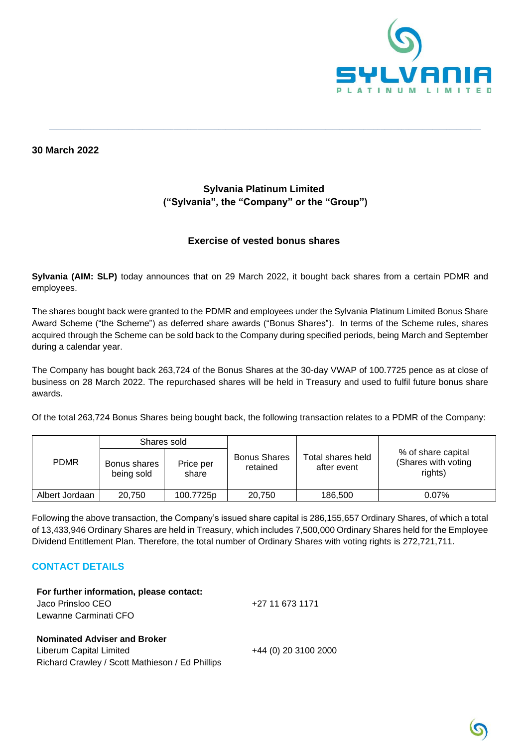

**30 March 2022**

# **Sylvania Platinum Limited ("Sylvania", the "Company" or the "Group")**

**\_\_\_\_\_\_\_\_\_\_\_\_\_\_\_\_\_\_\_\_\_\_\_\_\_\_\_\_\_\_\_\_\_\_\_\_\_\_\_\_\_\_\_\_\_\_\_\_\_\_\_\_\_\_\_\_\_\_\_\_\_\_\_\_\_\_\_\_\_\_\_\_\_\_\_\_\_\_\_\_\_\_\_\_\_\_\_\_\_\_\_\_\_\_\_\_\_\_\_\_\_\_\_\_\_\_\_\_\_\_\_\_\_\_\_\_\_\_\_\_\_\_\_\_\_**

### **Exercise of vested bonus shares**

**Sylvania (AIM: SLP)** today announces that on 29 March 2022, it bought back shares from a certain PDMR and employees.

The shares bought back were granted to the PDMR and employees under the Sylvania Platinum Limited Bonus Share Award Scheme ("the Scheme") as deferred share awards ("Bonus Shares"). In terms of the Scheme rules, shares acquired through the Scheme can be sold back to the Company during specified periods, being March and September during a calendar year.

The Company has bought back 263,724 of the Bonus Shares at the 30-day VWAP of 100.7725 pence as at close of business on 28 March 2022. The repurchased shares will be held in Treasury and used to fulfil future bonus share awards.

Of the total 263,724 Bonus Shares being bought back, the following transaction relates to a PDMR of the Company:

| <b>PDMR</b>    | Shares sold                |                    |                                 |                                  |                                                      |
|----------------|----------------------------|--------------------|---------------------------------|----------------------------------|------------------------------------------------------|
|                | Bonus shares<br>being sold | Price per<br>share | <b>Bonus Shares</b><br>retained | Total shares held<br>after event | % of share capital<br>(Shares with voting<br>rights) |
| Albert Jordaan | 20.750                     | 100.7725p          | 20.750                          | 186,500                          | $0.07\%$                                             |

Following the above transaction, the Company's issued share capital is 286,155,657 Ordinary Shares, of which a total of 13,433,946 Ordinary Shares are held in Treasury, which includes 7,500,000 Ordinary Shares held for the Employee Dividend Entitlement Plan. Therefore, the total number of Ordinary Shares with voting rights is 272,721,711.

### **CONTACT DETAILS**

**For further information, please contact:** Jaco Prinsloo CEO Lewanne Carminati CFO

### **Nominated Adviser and Broker**

Liberum Capital Limited +44 (0) 20 3100 2000 Richard Crawley / Scott Mathieson / Ed Phillips

+27 11 673 1171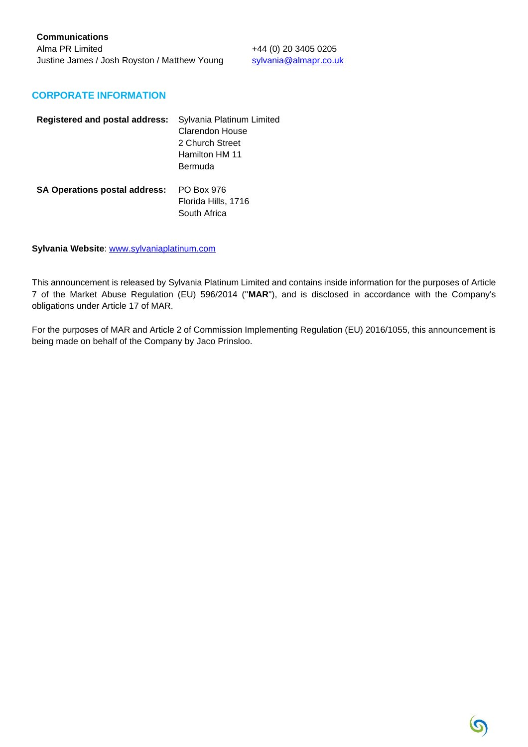#### **CORPORATE INFORMATION**

| <b>Registered and postal address:</b> | Sylvania Platinum Limited<br>Clarendon House<br>2 Church Street<br>Hamilton HM 11<br>Bermuda |
|---------------------------------------|----------------------------------------------------------------------------------------------|
| <b>SA Operations postal address:</b>  | PO Box 976<br>Florida Hills, 1716<br>South Africa                                            |

**Sylvania Website**: [www.sylvaniaplatinum.com](http://www.sylvaniaplatinum.com/)

This announcement is released by Sylvania Platinum Limited and contains inside information for the purposes of Article 7 of the Market Abuse Regulation (EU) 596/2014 ("**MAR**"), and is disclosed in accordance with the Company's obligations under Article 17 of MAR.

For the purposes of MAR and Article 2 of Commission Implementing Regulation (EU) 2016/1055, this announcement is being made on behalf of the Company by Jaco Prinsloo.

 $\mathcal{O}$